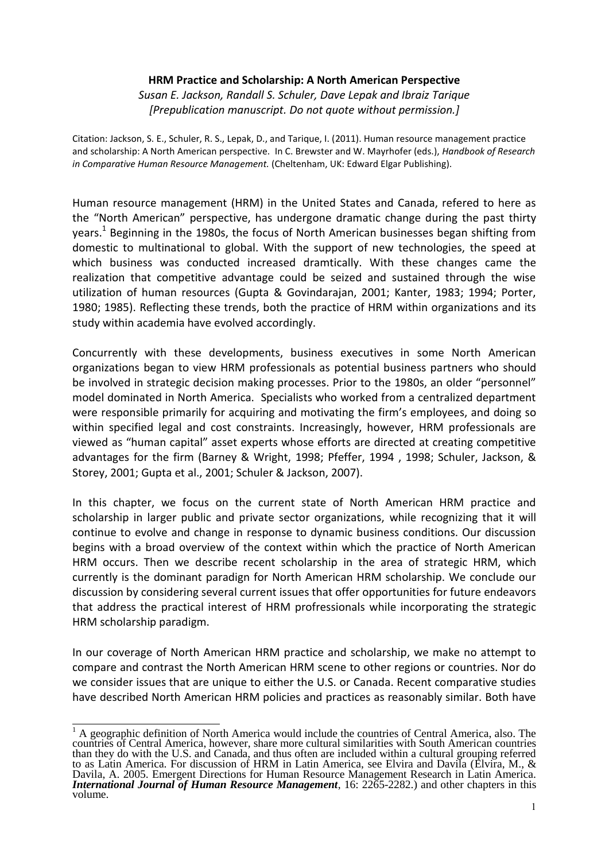#### **HRM Practice and Scholarship: A North American Perspective**

*Susan E. Jackson, Randall S. Schuler, Dave Lepak and Ibraiz Tarique [Prepublication manuscript. Do not quote without permission.]*

Citation: Jackson, S. E., Schuler, R. S., Lepak, D., and Tarique, I. (2011). Human resource management practice and scholarship: A North American perspective. In C. Brewster and W. Mayrhofer (eds.), *Handbook of Research in Comparative Human Resource Management.* (Cheltenham, UK: Edward Elgar Publishing).

Human resource management (HRM) in the United States and Canada, refered to here as the "North American" perspective, has undergone dramatic change during the past thirty years.<sup>1</sup> Beginning in the 1980s, the focus of North American businesses began shifting from domestic to multinational to global. With the support of new technologies, the speed at which business was conducted increased dramtically. With these changes came the realization that competitive advantage could be seized and sustained through the wise utilization of human resources (Gupta & Govindarajan, 2001; Kanter, 1983; 1994; Porter, 1980; 1985). Reflecting these trends, both the practice of HRM within organizations and its study within academia have evolved accordingly.

Concurrently with these developments, business executives in some North American organizations began to view HRM professionals as potential business partners who should be involved in strategic decision making processes. Prior to the 1980s, an older "personnel" model dominated in North America. Specialists who worked from a centralized department were responsible primarily for acquiring and motivating the firm's employees, and doing so within specified legal and cost constraints. Increasingly, however, HRM professionals are viewed as "human capital" asset experts whose efforts are directed at creating competitive advantages for the firm (Barney & Wright, 1998; Pfeffer, 1994 , 1998; Schuler, Jackson, & Storey, 2001; Gupta et al., 2001; Schuler & Jackson, 2007).

In this chapter, we focus on the current state of North American HRM practice and scholarship in larger public and private sector organizations, while recognizing that it will continue to evolve and change in response to dynamic business conditions. Our discussion begins with a broad overview of the context within which the practice of North American HRM occurs. Then we describe recent scholarship in the area of strategic HRM, which currently is the dominant paradign for North American HRM scholarship. We conclude our discussion by considering several current issues that offer opportunities for future endeavors that address the practical interest of HRM profressionals while incorporating the strategic HRM scholarship paradigm.

In our coverage of North American HRM practice and scholarship, we make no attempt to compare and contrast the North American HRM scene to other regions or countries. Nor do we consider issues that are unique to either the U.S. or Canada. Recent comparative studies have described North American HRM policies and practices as reasonably similar. Both have

 $\frac{1}{1}$  A geographic definition of North America would include the countries of Central America, also. The countries of Central America, however, share more cultural similarities with South American countries than they do with the U.S. and Canada, and thus often are included within a cultural grouping referred to as Latin America. For discussion of HRM in Latin America, see Elvira and Davila (Elvira, M., & Davila, A. 2005. Emergent Directions for Human Resource Management Research in Latin America. *International Journal of Human Resource Management*, 16: 2265-2282.) and other chapters in this volume.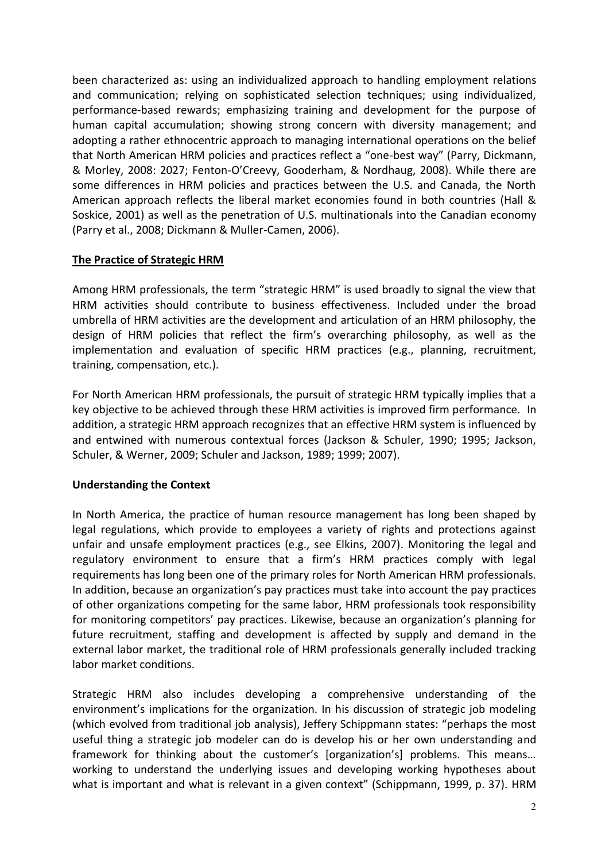been characterized as: using an individualized approach to handling employment relations and communication; relying on sophisticated selection techniques; using individualized, performance-based rewards; emphasizing training and development for the purpose of human capital accumulation; showing strong concern with diversity management; and adopting a rather ethnocentric approach to managing international operations on the belief that North American HRM policies and practices reflect a "one-best way" (Parry, Dickmann, & Morley, 2008: 2027; Fenton-O'Creevy, Gooderham, & Nordhaug, 2008). While there are some differences in HRM policies and practices between the U.S. and Canada, the North American approach reflects the liberal market economies found in both countries (Hall & Soskice, 2001) as well as the penetration of U.S. multinationals into the Canadian economy (Parry et al., 2008; Dickmann & Muller-Camen, 2006).

## **The Practice of Strategic HRM**

Among HRM professionals, the term "strategic HRM" is used broadly to signal the view that HRM activities should contribute to business effectiveness. Included under the broad umbrella of HRM activities are the development and articulation of an HRM philosophy, the design of HRM policies that reflect the firm's overarching philosophy, as well as the implementation and evaluation of specific HRM practices (e.g., planning, recruitment, training, compensation, etc.).

For North American HRM professionals, the pursuit of strategic HRM typically implies that a key objective to be achieved through these HRM activities is improved firm performance. In addition, a strategic HRM approach recognizes that an effective HRM system is influenced by and entwined with numerous contextual forces (Jackson & Schuler, 1990; 1995; Jackson, Schuler, & Werner, 2009; Schuler and Jackson, 1989; 1999; 2007).

# **Understanding the Context**

In North America, the practice of human resource management has long been shaped by legal regulations, which provide to employees a variety of rights and protections against unfair and unsafe employment practices (e.g., see Elkins, 2007). Monitoring the legal and regulatory environment to ensure that a firm's HRM practices comply with legal requirements has long been one of the primary roles for North American HRM professionals. In addition, because an organization's pay practices must take into account the pay practices of other organizations competing for the same labor, HRM professionals took responsibility for monitoring competitors' pay practices. Likewise, because an organization's planning for future recruitment, staffing and development is affected by supply and demand in the external labor market, the traditional role of HRM professionals generally included tracking labor market conditions.

Strategic HRM also includes developing a comprehensive understanding of the environment's implications for the organization. In his discussion of strategic job modeling (which evolved from traditional job analysis), Jeffery Schippmann states: "perhaps the most useful thing a strategic job modeler can do is develop his or her own understanding and framework for thinking about the customer's [organization's] problems. This means... working to understand the underlying issues and developing working hypotheses about what is important and what is relevant in a given context" (Schippmann, 1999, p. 37). HRM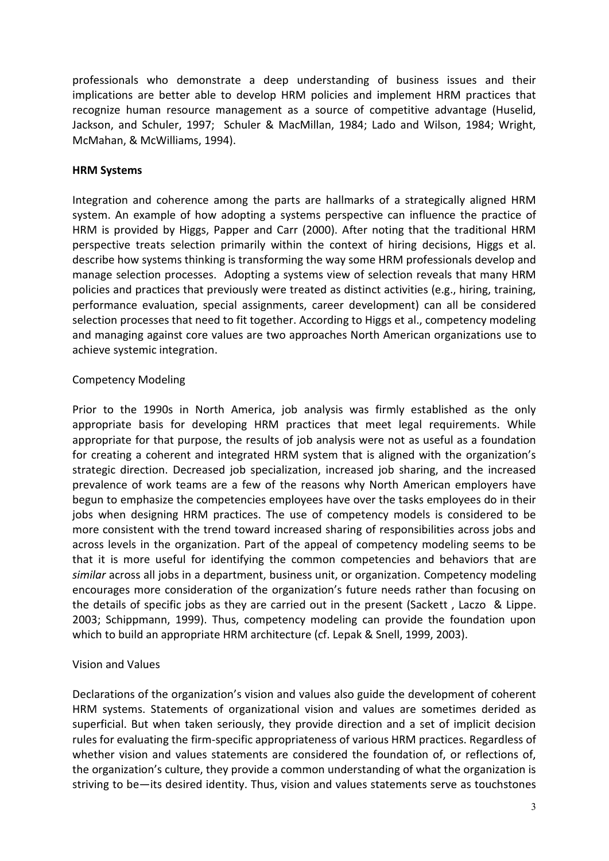professionals who demonstrate a deep understanding of business issues and their implications are better able to develop HRM policies and implement HRM practices that recognize human resource management as a source of competitive advantage (Huselid, Jackson, and Schuler, 1997; Schuler & MacMillan, 1984; Lado and Wilson, 1984; Wright, McMahan, & McWilliams, 1994).

#### **HRM Systems**

Integration and coherence among the parts are hallmarks of a strategically aligned HRM system. An example of how adopting a systems perspective can influence the practice of HRM is provided by Higgs, Papper and Carr (2000). After noting that the traditional HRM perspective treats selection primarily within the context of hiring decisions, Higgs et al. describe how systems thinking is transforming the way some HRM professionals develop and manage selection processes. Adopting a systems view of selection reveals that many HRM policies and practices that previously were treated as distinct activities (e.g., hiring, training, performance evaluation, special assignments, career development) can all be considered selection processes that need to fit together. According to Higgs et al., competency modeling and managing against core values are two approaches North American organizations use to achieve systemic integration.

## Competency Modeling

Prior to the 1990s in North America, job analysis was firmly established as the only appropriate basis for developing HRM practices that meet legal requirements. While appropriate for that purpose, the results of job analysis were not as useful as a foundation for creating a coherent and integrated HRM system that is aligned with the organization's strategic direction. Decreased job specialization, increased job sharing, and the increased prevalence of work teams are a few of the reasons why North American employers have begun to emphasize the competencies employees have over the tasks employees do in their jobs when designing HRM practices. The use of competency models is considered to be more consistent with the trend toward increased sharing of responsibilities across jobs and across levels in the organization. Part of the appeal of competency modeling seems to be that it is more useful for identifying the common competencies and behaviors that are *similar* across all jobs in a department, business unit, or organization. Competency modeling encourages more consideration of the organization's future needs rather than focusing on the details of specific jobs as they are carried out in the present (Sackett , Laczo & Lippe. 2003; Schippmann, 1999). Thus, competency modeling can provide the foundation upon which to build an appropriate HRM architecture (cf. Lepak & Snell, 1999, 2003).

## Vision and Values

Declarations of the organization's vision and values also guide the development of coherent HRM systems. Statements of organizational vision and values are sometimes derided as superficial. But when taken seriously, they provide direction and a set of implicit decision rules for evaluating the firm-specific appropriateness of various HRM practices. Regardless of whether vision and values statements are considered the foundation of, or reflections of, the organization's culture, they provide a common understanding of what the organization is striving to be—its desired identity. Thus, vision and values statements serve as touchstones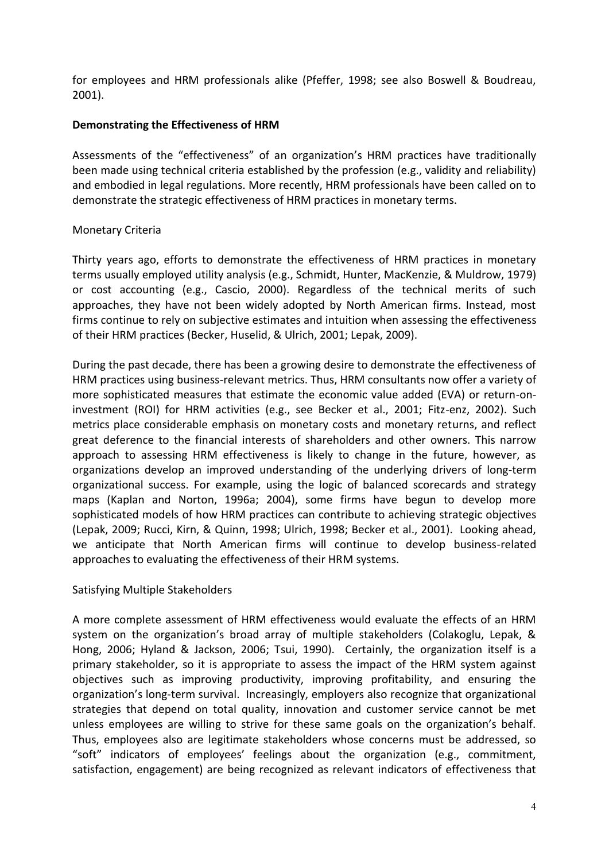for employees and HRM professionals alike (Pfeffer, 1998; see also Boswell & Boudreau, 2001).

## **Demonstrating the Effectiveness of HRM**

Assessments of the "effectiveness" of an organization's HRM practices have traditionally been made using technical criteria established by the profession (e.g., validity and reliability) and embodied in legal regulations. More recently, HRM professionals have been called on to demonstrate the strategic effectiveness of HRM practices in monetary terms.

### Monetary Criteria

Thirty years ago, efforts to demonstrate the effectiveness of HRM practices in monetary terms usually employed utility analysis (e.g., Schmidt, Hunter, MacKenzie, & Muldrow, 1979) or cost accounting (e.g., Cascio, 2000). Regardless of the technical merits of such approaches, they have not been widely adopted by North American firms. Instead, most firms continue to rely on subjective estimates and intuition when assessing the effectiveness of their HRM practices (Becker, Huselid, & Ulrich, 2001; Lepak, 2009).

During the past decade, there has been a growing desire to demonstrate the effectiveness of HRM practices using business-relevant metrics. Thus, HRM consultants now offer a variety of more sophisticated measures that estimate the economic value added (EVA) or return-oninvestment (ROI) for HRM activities (e.g., see Becker et al., 2001; Fitz-enz, 2002). Such metrics place considerable emphasis on monetary costs and monetary returns, and reflect great deference to the financial interests of shareholders and other owners. This narrow approach to assessing HRM effectiveness is likely to change in the future, however, as organizations develop an improved understanding of the underlying drivers of long-term organizational success. For example, using the logic of balanced scorecards and strategy maps (Kaplan and Norton, 1996a; 2004), some firms have begun to develop more sophisticated models of how HRM practices can contribute to achieving strategic objectives (Lepak, 2009; Rucci, Kirn, & Quinn, 1998; Ulrich, 1998; Becker et al., 2001). Looking ahead, we anticipate that North American firms will continue to develop business-related approaches to evaluating the effectiveness of their HRM systems.

## Satisfying Multiple Stakeholders

A more complete assessment of HRM effectiveness would evaluate the effects of an HRM system on the organization's broad array of multiple stakeholders (Colakoglu, Lepak, & Hong, 2006; Hyland & Jackson, 2006; Tsui, 1990). Certainly, the organization itself is a primary stakeholder, so it is appropriate to assess the impact of the HRM system against objectives such as improving productivity, improving profitability, and ensuring the organization's long-term survival. Increasingly, employers also recognize that organizational strategies that depend on total quality, innovation and customer service cannot be met unless employees are willing to strive for these same goals on the organization's behalf. Thus, employees also are legitimate stakeholders whose concerns must be addressed, so "soft" indicators of employees' feelings about the organization (e.g., commitment, satisfaction, engagement) are being recognized as relevant indicators of effectiveness that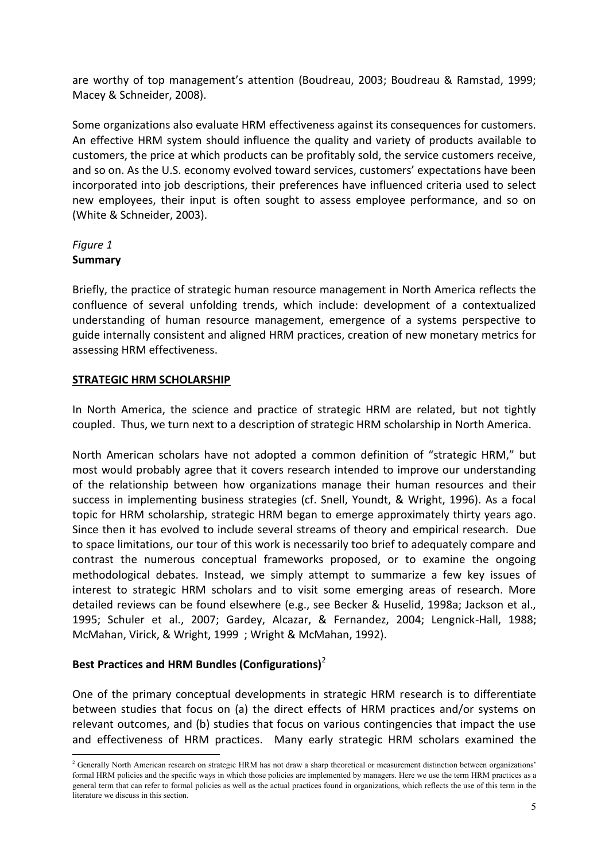are worthy of top management's attention (Boudreau, 2003; Boudreau & Ramstad, 1999; Macey & Schneider, 2008).

Some organizations also evaluate HRM effectiveness against its consequences for customers. An effective HRM system should influence the quality and variety of products available to customers, the price at which products can be profitably sold, the service customers receive, and so on. As the U.S. economy evolved toward services, customers' expectations have been incorporated into job descriptions, their preferences have influenced criteria used to select new employees, their input is often sought to assess employee performance, and so on (White & Schneider, 2003).

# *[Figure 1](#page-16-0)* **Summary**

1

Briefly, the practice of strategic human resource management in North America reflects the confluence of several unfolding trends, which include: development of a contextualized understanding of human resource management, emergence of a systems perspective to guide internally consistent and aligned HRM practices, creation of new monetary metrics for assessing HRM effectiveness.

# **STRATEGIC HRM SCHOLARSHIP**

In North America, the science and practice of strategic HRM are related, but not tightly coupled. Thus, we turn next to a description of strategic HRM scholarship in North America.

North American scholars have not adopted a common definition of "strategic HRM," but most would probably agree that it covers research intended to improve our understanding of the relationship between how organizations manage their human resources and their success in implementing business strategies (cf. Snell, Youndt, & Wright, 1996). As a focal topic for HRM scholarship, strategic HRM began to emerge approximately thirty years ago. Since then it has evolved to include several streams of theory and empirical research. Due to space limitations, our tour of this work is necessarily too brief to adequately compare and contrast the numerous conceptual frameworks proposed, or to examine the ongoing methodological debates. Instead, we simply attempt to summarize a few key issues of interest to strategic HRM scholars and to visit some emerging areas of research. More detailed reviews can be found elsewhere (e.g., see Becker & Huselid, 1998a; Jackson et al., 1995; Schuler et al., 2007; Gardey, Alcazar, & Fernandez, 2004; Lengnick-Hall, 1988; McMahan, Virick, & Wright, 1999 ; Wright & McMahan, 1992).

# **Best Practices and HRM Bundles (Configurations)**<sup>2</sup>

One of the primary conceptual developments in strategic HRM research is to differentiate between studies that focus on (a) the direct effects of HRM practices and/or systems on relevant outcomes, and (b) studies that focus on various contingencies that impact the use and effectiveness of HRM practices. Many early strategic HRM scholars examined the

<sup>&</sup>lt;sup>2</sup> Generally North American research on strategic HRM has not draw a sharp theoretical or measurement distinction between organizations' formal HRM policies and the specific ways in which those policies are implemented by managers. Here we use the term HRM practices as a general term that can refer to formal policies as well as the actual practices found in organizations, which reflects the use of this term in the literature we discuss in this section.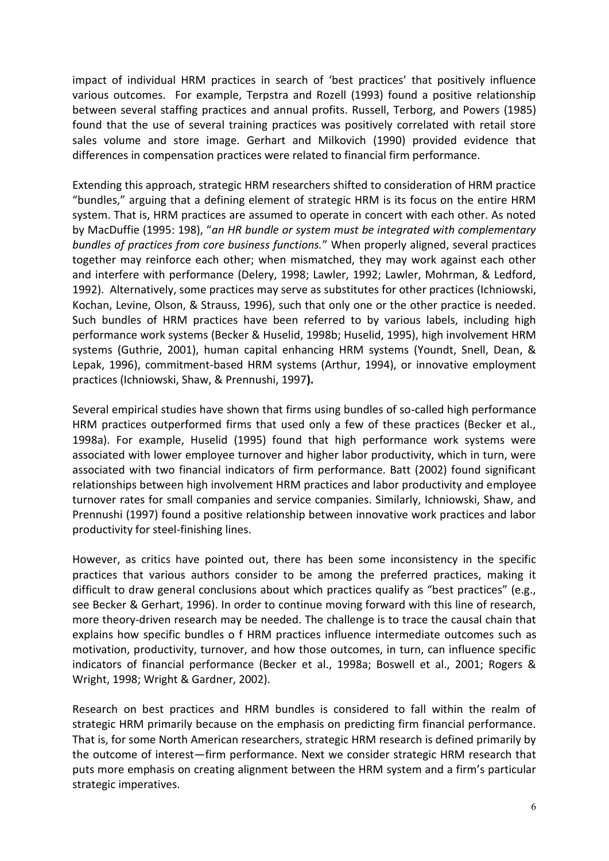impact of individual HRM practices in search of 'best practices' that positively influence various outcomes. For example, Terpstra and Rozell (1993) found a positive relationship between several staffing practices and annual profits. Russell, Terborg, and Powers (1985) found that the use of several training practices was positively correlated with retail store sales volume and store image. Gerhart and Milkovich (1990) provided evidence that differences in compensation practices were related to financial firm performance.

Extending this approach, strategic HRM researchers shifted to consideration of HRM practice "bundles," arguing that a defining element of strategic HRM is its focus on the entire HRM system. That is, HRM practices are assumed to operate in concert with each other. As noted by MacDuffie (1995: 198), "*an HR bundle or system must be integrated with complementary bundles of practices from core business functions.*" When properly aligned, several practices together may reinforce each other; when mismatched, they may work against each other and interfere with performance (Delery, 1998; Lawler, 1992; Lawler, Mohrman, & Ledford, 1992). Alternatively, some practices may serve as substitutes for other practices (Ichniowski, Kochan, Levine, Olson, & Strauss, 1996), such that only one or the other practice is needed. Such bundles of HRM practices have been referred to by various labels, including high performance work systems (Becker & Huselid, 1998b; Huselid, 1995), high involvement HRM systems (Guthrie, 2001), human capital enhancing HRM systems (Youndt, Snell, Dean, & Lepak, 1996), commitment-based HRM systems (Arthur, 1994), or innovative employment practices (Ichniowski, Shaw, & Prennushi, 1997**).** 

Several empirical studies have shown that firms using bundles of so-called high performance HRM practices outperformed firms that used only a few of these practices (Becker et al., 1998a). For example, Huselid (1995) found that high performance work systems were associated with lower employee turnover and higher labor productivity, which in turn, were associated with two financial indicators of firm performance. Batt (2002) found significant relationships between high involvement HRM practices and labor productivity and employee turnover rates for small companies and service companies. Similarly, Ichniowski, Shaw, and Prennushi (1997) found a positive relationship between innovative work practices and labor productivity for steel-finishing lines.

However, as critics have pointed out, there has been some inconsistency in the specific practices that various authors consider to be among the preferred practices, making it difficult to draw general conclusions about which practices qualify as "best practices" (e.g., see Becker & Gerhart, 1996). In order to continue moving forward with this line of research, more theory-driven research may be needed. The challenge is to trace the causal chain that explains how specific bundles o f HRM practices influence intermediate outcomes such as motivation, productivity, turnover, and how those outcomes, in turn, can influence specific indicators of financial performance (Becker et al., 1998a; Boswell et al., 2001; Rogers & Wright, 1998; Wright & Gardner, 2002).

Research on best practices and HRM bundles is considered to fall within the realm of strategic HRM primarily because on the emphasis on predicting firm financial performance. That is, for some North American researchers, strategic HRM research is defined primarily by the outcome of interest—firm performance. Next we consider strategic HRM research that puts more emphasis on creating alignment between the HRM system and a firm's particular strategic imperatives.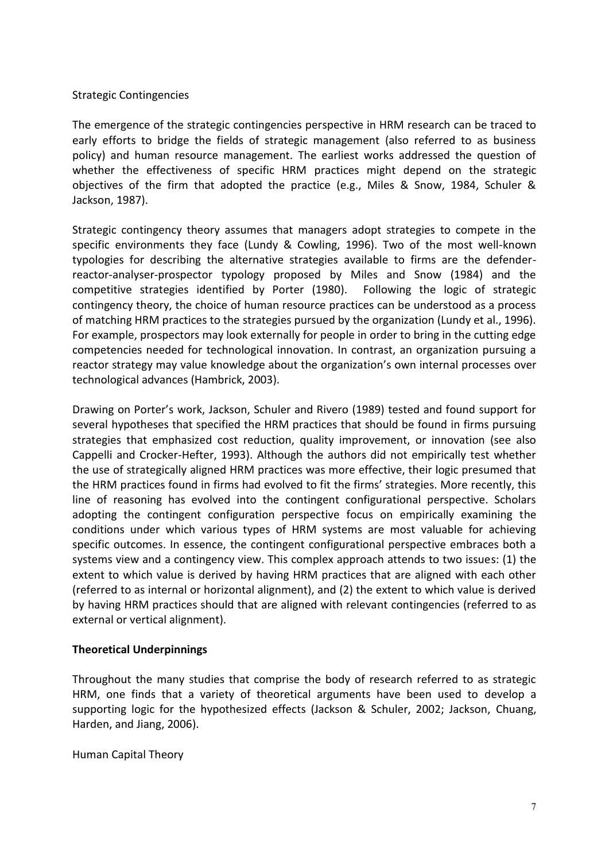### Strategic Contingencies

The emergence of the strategic contingencies perspective in HRM research can be traced to early efforts to bridge the fields of strategic management (also referred to as business policy) and human resource management. The earliest works addressed the question of whether the effectiveness of specific HRM practices might depend on the strategic objectives of the firm that adopted the practice (e.g., Miles & Snow, 1984, Schuler & Jackson, 1987).

Strategic contingency theory assumes that managers adopt strategies to compete in the specific environments they face (Lundy & Cowling, 1996). Two of the most well-known typologies for describing the alternative strategies available to firms are the defenderreactor-analyser-prospector typology proposed by Miles and Snow (1984) and the competitive strategies identified by Porter (1980). Following the logic of strategic contingency theory, the choice of human resource practices can be understood as a process of matching HRM practices to the strategies pursued by the organization (Lundy et al., 1996). For example, prospectors may look externally for people in order to bring in the cutting edge competencies needed for technological innovation. In contrast, an organization pursuing a reactor strategy may value knowledge about the organization's own internal processes over technological advances (Hambrick, 2003).

Drawing on Porter's work, Jackson, Schuler and Rivero (1989) tested and found support for several hypotheses that specified the HRM practices that should be found in firms pursuing strategies that emphasized cost reduction, quality improvement, or innovation (see also Cappelli and Crocker-Hefter, 1993). Although the authors did not empirically test whether the use of strategically aligned HRM practices was more effective, their logic presumed that the HRM practices found in firms had evolved to fit the firms' strategies. More recently, this line of reasoning has evolved into the contingent configurational perspective. Scholars adopting the contingent configuration perspective focus on empirically examining the conditions under which various types of HRM systems are most valuable for achieving specific outcomes. In essence, the contingent configurational perspective embraces both a systems view and a contingency view. This complex approach attends to two issues: (1) the extent to which value is derived by having HRM practices that are aligned with each other (referred to as internal or horizontal alignment), and (2) the extent to which value is derived by having HRM practices should that are aligned with relevant contingencies (referred to as external or vertical alignment).

#### **Theoretical Underpinnings**

Throughout the many studies that comprise the body of research referred to as strategic HRM, one finds that a variety of theoretical arguments have been used to develop a supporting logic for the hypothesized effects (Jackson & Schuler, 2002; Jackson, Chuang, Harden, and Jiang, 2006).

Human Capital Theory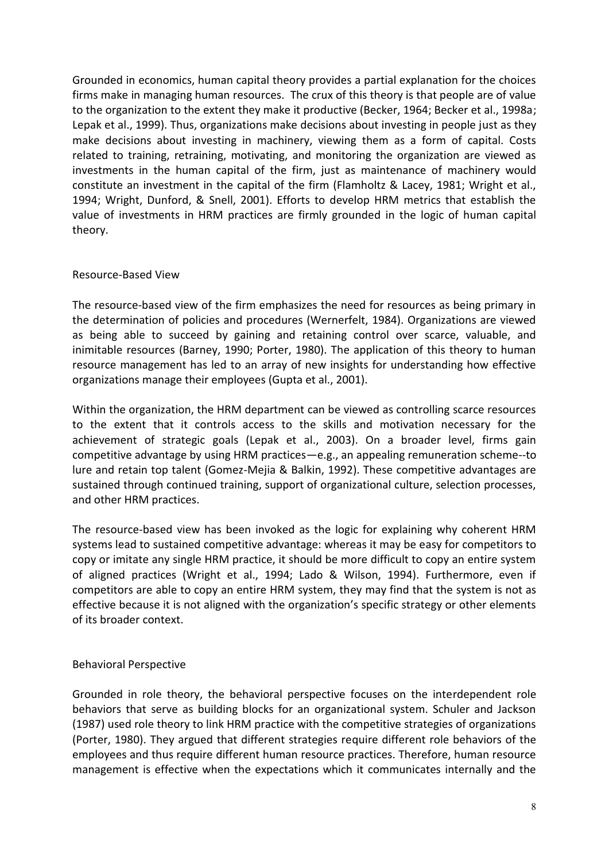Grounded in economics, human capital theory provides a partial explanation for the choices firms make in managing human resources. The crux of this theory is that people are of value to the organization to the extent they make it productive (Becker, 1964; Becker et al., 1998a; Lepak et al., 1999). Thus, organizations make decisions about investing in people just as they make decisions about investing in machinery, viewing them as a form of capital. Costs related to training, retraining, motivating, and monitoring the organization are viewed as investments in the human capital of the firm, just as maintenance of machinery would constitute an investment in the capital of the firm (Flamholtz & Lacey, 1981; Wright et al., 1994; Wright, Dunford, & Snell, 2001). Efforts to develop HRM metrics that establish the value of investments in HRM practices are firmly grounded in the logic of human capital theory.

### Resource-Based View

The resource-based view of the firm emphasizes the need for resources as being primary in the determination of policies and procedures (Wernerfelt, 1984). Organizations are viewed as being able to succeed by gaining and retaining control over scarce, valuable, and inimitable resources (Barney, 1990; Porter, 1980). The application of this theory to human resource management has led to an array of new insights for understanding how effective organizations manage their employees (Gupta et al., 2001).

Within the organization, the HRM department can be viewed as controlling scarce resources to the extent that it controls access to the skills and motivation necessary for the achievement of strategic goals (Lepak et al., 2003). On a broader level, firms gain competitive advantage by using HRM practices—e.g., an appealing remuneration scheme--to lure and retain top talent (Gomez-Mejia & Balkin, 1992). These competitive advantages are sustained through continued training, support of organizational culture, selection processes, and other HRM practices.

The resource-based view has been invoked as the logic for explaining why coherent HRM systems lead to sustained competitive advantage: whereas it may be easy for competitors to copy or imitate any single HRM practice, it should be more difficult to copy an entire system of aligned practices (Wright et al., 1994; Lado & Wilson, 1994). Furthermore, even if competitors are able to copy an entire HRM system, they may find that the system is not as effective because it is not aligned with the organization's specific strategy or other elements of its broader context.

## Behavioral Perspective

Grounded in role theory, the behavioral perspective focuses on the interdependent role behaviors that serve as building blocks for an organizational system. Schuler and Jackson (1987) used role theory to link HRM practice with the competitive strategies of organizations (Porter, 1980). They argued that different strategies require different role behaviors of the employees and thus require different human resource practices. Therefore, human resource management is effective when the expectations which it communicates internally and the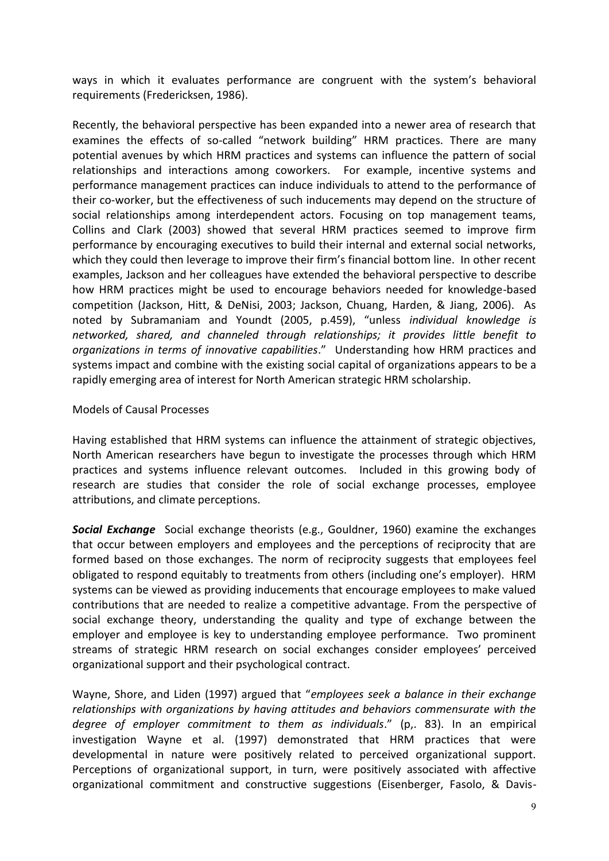ways in which it evaluates performance are congruent with the system's behavioral requirements (Fredericksen, 1986).

Recently, the behavioral perspective has been expanded into a newer area of research that examines the effects of so-called "network building" HRM practices. There are many potential avenues by which HRM practices and systems can influence the pattern of social relationships and interactions among coworkers. For example, incentive systems and performance management practices can induce individuals to attend to the performance of their co-worker, but the effectiveness of such inducements may depend on the structure of social relationships among interdependent actors. Focusing on top management teams, Collins and Clark (2003) showed that several HRM practices seemed to improve firm performance by encouraging executives to build their internal and external social networks, which they could then leverage to improve their firm's financial bottom line. In other recent examples, Jackson and her colleagues have extended the behavioral perspective to describe how HRM practices might be used to encourage behaviors needed for knowledge-based competition (Jackson, Hitt, & DeNisi, 2003; Jackson, Chuang, Harden, & Jiang, 2006). As noted by Subramaniam and Youndt (2005, p.459), "unless *individual knowledge is networked, shared, and channeled through relationships; it provides little benefit to organizations in terms of innovative capabilities*." Understanding how HRM practices and systems impact and combine with the existing social capital of organizations appears to be a rapidly emerging area of interest for North American strategic HRM scholarship.

#### Models of Causal Processes

Having established that HRM systems can influence the attainment of strategic objectives, North American researchers have begun to investigate the processes through which HRM practices and systems influence relevant outcomes. Included in this growing body of research are studies that consider the role of social exchange processes, employee attributions, and climate perceptions.

*Social Exchange* Social exchange theorists (e.g., Gouldner, 1960) examine the exchanges that occur between employers and employees and the perceptions of reciprocity that are formed based on those exchanges. The norm of reciprocity suggests that employees feel obligated to respond equitably to treatments from others (including one's employer). HRM systems can be viewed as providing inducements that encourage employees to make valued contributions that are needed to realize a competitive advantage. From the perspective of social exchange theory, understanding the quality and type of exchange between the employer and employee is key to understanding employee performance. Two prominent streams of strategic HRM research on social exchanges consider employees' perceived organizational support and their psychological contract.

Wayne, Shore, and Liden (1997) argued that "*employees seek a balance in their exchange relationships with organizations by having attitudes and behaviors commensurate with the degree of employer commitment to them as individuals*." (p,. 83). In an empirical investigation Wayne et al. (1997) demonstrated that HRM practices that were developmental in nature were positively related to perceived organizational support. Perceptions of organizational support, in turn, were positively associated with affective organizational commitment and constructive suggestions (Eisenberger, Fasolo, & Davis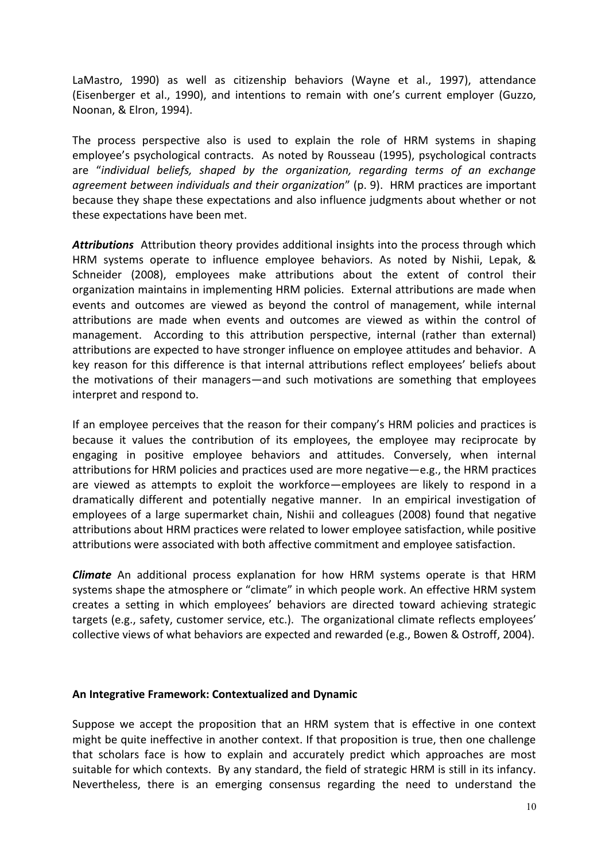LaMastro, 1990) as well as citizenship behaviors (Wayne et al., 1997), attendance (Eisenberger et al., 1990), and intentions to remain with one's current employer (Guzzo, Noonan, & Elron, 1994).

The process perspective also is used to explain the role of HRM systems in shaping employee's psychological contracts. As noted by Rousseau (1995), psychological contracts are "*individual beliefs, shaped by the organization, regarding terms of an exchange agreement between individuals and their organization*" (p. 9). HRM practices are important because they shape these expectations and also influence judgments about whether or not these expectations have been met.

*Attributions* Attribution theory provides additional insights into the process through which HRM systems operate to influence employee behaviors. As noted by Nishii, Lepak, & Schneider (2008), employees make attributions about the extent of control their organization maintains in implementing HRM policies. External attributions are made when events and outcomes are viewed as beyond the control of management, while internal attributions are made when events and outcomes are viewed as within the control of management. According to this attribution perspective, internal (rather than external) attributions are expected to have stronger influence on employee attitudes and behavior. A key reason for this difference is that internal attributions reflect employees' beliefs about the motivations of their managers—and such motivations are something that employees interpret and respond to.

If an employee perceives that the reason for their company's HRM policies and practices is because it values the contribution of its employees, the employee may reciprocate by engaging in positive employee behaviors and attitudes. Conversely, when internal attributions for HRM policies and practices used are more negative—e.g., the HRM practices are viewed as attempts to exploit the workforce—employees are likely to respond in a dramatically different and potentially negative manner. In an empirical investigation of employees of a large supermarket chain, Nishii and colleagues (2008) found that negative attributions about HRM practices were related to lower employee satisfaction, while positive attributions were associated with both affective commitment and employee satisfaction.

*Climate* An additional process explanation for how HRM systems operate is that HRM systems shape the atmosphere or "climate" in which people work. An effective HRM system creates a setting in which employees' behaviors are directed toward achieving strategic targets (e.g., safety, customer service, etc.). The organizational climate reflects employees' collective views of what behaviors are expected and rewarded (e.g., Bowen & Ostroff, 2004).

#### **An Integrative Framework: Contextualized and Dynamic**

Suppose we accept the proposition that an HRM system that is effective in one context might be quite ineffective in another context. If that proposition is true, then one challenge that scholars face is how to explain and accurately predict which approaches are most suitable for which contexts. By any standard, the field of strategic HRM is still in its infancy. Nevertheless, there is an emerging consensus regarding the need to understand the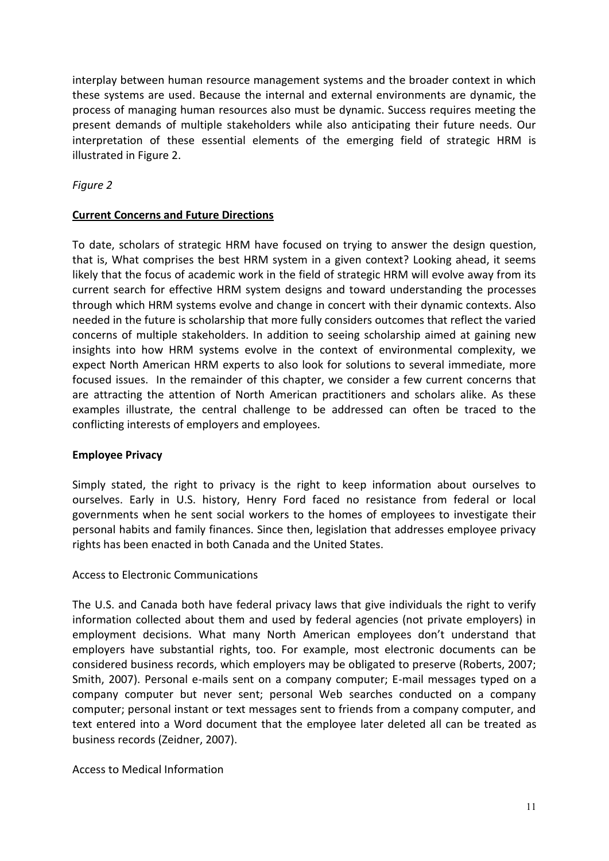interplay between human resource management systems and the broader context in which these systems are used. Because the internal and external environments are dynamic, the process of managing human resources also must be dynamic. Success requires meeting the present demands of multiple stakeholders while also anticipating their future needs. Our interpretation of these essential elements of the emerging field of strategic HRM is illustrated in Figure 2.

# *[Figure 2](#page-17-0)*

## **Current Concerns and Future Directions**

To date, scholars of strategic HRM have focused on trying to answer the design question, that is, What comprises the best HRM system in a given context? Looking ahead, it seems likely that the focus of academic work in the field of strategic HRM will evolve away from its current search for effective HRM system designs and toward understanding the processes through which HRM systems evolve and change in concert with their dynamic contexts. Also needed in the future is scholarship that more fully considers outcomes that reflect the varied concerns of multiple stakeholders. In addition to seeing scholarship aimed at gaining new insights into how HRM systems evolve in the context of environmental complexity, we expect North American HRM experts to also look for solutions to several immediate, more focused issues. In the remainder of this chapter, we consider a few current concerns that are attracting the attention of North American practitioners and scholars alike. As these examples illustrate, the central challenge to be addressed can often be traced to the conflicting interests of employers and employees.

#### **Employee Privacy**

Simply stated, the right to privacy is the right to keep information about ourselves to ourselves. Early in U.S. history, Henry Ford faced no resistance from federal or local governments when he sent social workers to the homes of employees to investigate their personal habits and family finances. Since then, legislation that addresses employee privacy rights has been enacted in both Canada and the United States.

#### Access to Electronic Communications

The U.S. and Canada both have federal privacy laws that give individuals the right to verify information collected about them and used by federal agencies (not private employers) in employment decisions. What many North American employees don't understand that employers have substantial rights, too. For example, most electronic documents can be considered business records, which employers may be obligated to preserve (Roberts, 2007; Smith, 2007). Personal e-mails sent on a company computer; E-mail messages typed on a company computer but never sent; personal Web searches conducted on a company computer; personal instant or text messages sent to friends from a company computer, and text entered into a Word document that the employee later deleted all can be treated as business records (Zeidner, 2007).

#### Access to Medical Information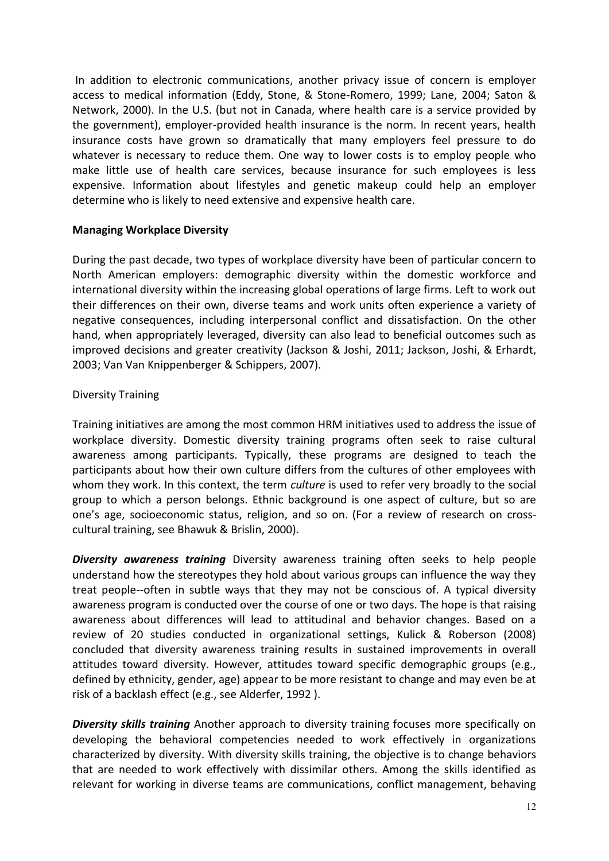In addition to electronic communications, another privacy issue of concern is employer access to medical information (Eddy, Stone, & Stone-Romero, 1999; Lane, 2004; Saton & Network, 2000). In the U.S. (but not in Canada, where health care is a service provided by the government), employer-provided health insurance is the norm. In recent years, health insurance costs have grown so dramatically that many employers feel pressure to do whatever is necessary to reduce them. One way to lower costs is to employ people who make little use of health care services, because insurance for such employees is less expensive. Information about lifestyles and genetic makeup could help an employer determine who is likely to need extensive and expensive health care.

#### **Managing Workplace Diversity**

During the past decade, two types of workplace diversity have been of particular concern to North American employers: demographic diversity within the domestic workforce and international diversity within the increasing global operations of large firms. Left to work out their differences on their own, diverse teams and work units often experience a variety of negative consequences, including interpersonal conflict and dissatisfaction. On the other hand, when appropriately leveraged, diversity can also lead to beneficial outcomes such as improved decisions and greater creativity (Jackson & Joshi, 2011; Jackson, Joshi, & Erhardt, 2003; Van Van Knippenberger & Schippers, 2007).

### Diversity Training

Training initiatives are among the most common HRM initiatives used to address the issue of workplace diversity. Domestic diversity training programs often seek to raise cultural awareness among participants. Typically, these programs are designed to teach the participants about how their own culture differs from the cultures of other employees with whom they work. In this context, the term *culture* is used to refer very broadly to the social group to which a person belongs. Ethnic background is one aspect of culture, but so are one's age, socioeconomic status, religion, and so on. (For a review of research on crosscultural training, see Bhawuk & Brislin, 2000).

*Diversity awareness training* Diversity awareness training often seeks to help people understand how the stereotypes they hold about various groups can influence the way they treat people--often in subtle ways that they may not be conscious of. A typical diversity awareness program is conducted over the course of one or two days. The hope is that raising awareness about differences will lead to attitudinal and behavior changes. Based on a review of 20 studies conducted in organizational settings, Kulick & Roberson (2008) concluded that diversity awareness training results in sustained improvements in overall attitudes toward diversity. However, attitudes toward specific demographic groups (e.g., defined by ethnicity, gender, age) appear to be more resistant to change and may even be at risk of a backlash effect (e.g., see Alderfer, 1992 ).

*Diversity skills training* Another approach to diversity training focuses more specifically on developing the behavioral competencies needed to work effectively in organizations characterized by diversity. With diversity skills training, the objective is to change behaviors that are needed to work effectively with dissimilar others. Among the skills identified as relevant for working in diverse teams are communications, conflict management, behaving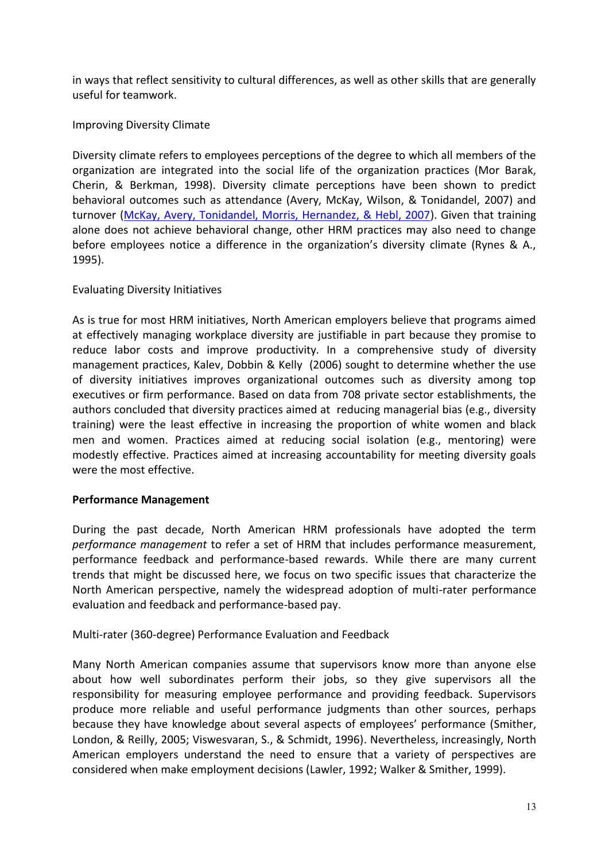in ways that reflect sensitivity to cultural differences, as well as other skills that are generally useful for teamwork.

## Improving Diversity Climate

Diversity climate refers to employees perceptions of the degree to which all members of the organization are integrated into the social life of the organization practices (Mor Barak, Cherin, & Berkman, 1998). Diversity climate perceptions have been shown to predict behavioral outcomes such as attendance (Avery, McKay, Wilson, & Tonidandel, 2007) and turnover (McKay, Avery, Tonidandel, Morris, Hernandez, & Hebl, 2007). Given that training alone does not achieve behavioral change, other HRM practices may also need to change before employees notice a difference in the organization's diversity climate (Rynes & A., 1995).

### Evaluating Diversity Initiatives

As is true for most HRM initiatives, North American employers believe that programs aimed at effectively managing workplace diversity are justifiable in part because they promise to reduce labor costs and improve productivity. In a comprehensive study of diversity management practices, Kalev, Dobbin & Kelly (2006) sought to determine whether the use of diversity initiatives improves organizational outcomes such as diversity among top executives or firm performance. Based on data from 708 private sector establishments, the authors concluded that diversity practices aimed at reducing managerial bias (e.g., diversity training) were the least effective in increasing the proportion of white women and black men and women. Practices aimed at reducing social isolation (e.g., mentoring) were modestly effective. Practices aimed at increasing accountability for meeting diversity goals were the most effective.

#### **Performance Management**

During the past decade, North American HRM professionals have adopted the term *performance management* to refer a set of HRM that includes performance measurement, performance feedback and performance-based rewards. While there are many current trends that might be discussed here, we focus on two specific issues that characterize the North American perspective, namely the widespread adoption of multi-rater performance evaluation and feedback and performance-based pay.

## Multi-rater (360-degree) Performance Evaluation and Feedback

Many North American companies assume that supervisors know more than anyone else about how well subordinates perform their jobs, so they give supervisors all the responsibility for measuring employee performance and providing feedback. Supervisors produce more reliable and useful performance judgments than other sources, perhaps because they have knowledge about several aspects of employees' performance (Smither, London, & Reilly, 2005; Viswesvaran, S., & Schmidt, 1996). Nevertheless, increasingly, North American employers understand the need to ensure that a variety of perspectives are considered when make employment decisions (Lawler, 1992; Walker & Smither, 1999).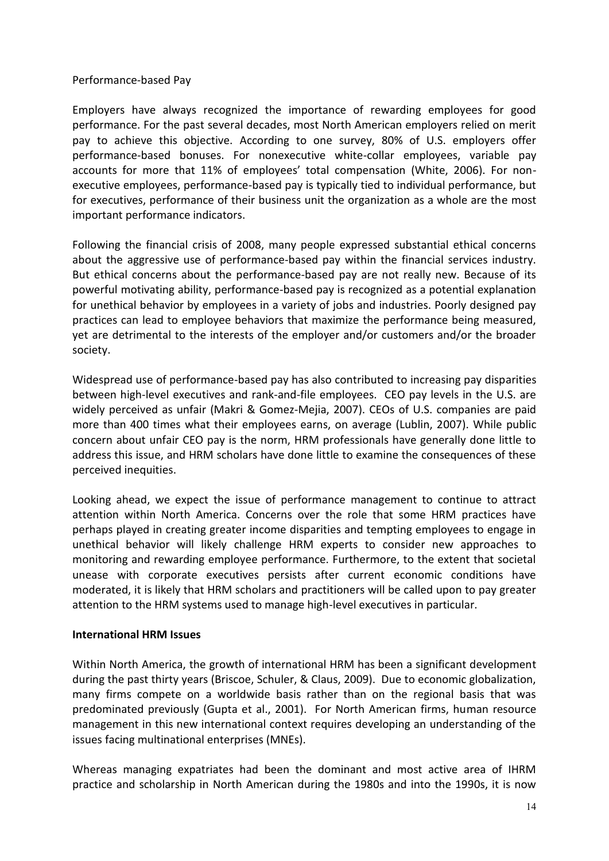#### Performance-based Pay

Employers have always recognized the importance of rewarding employees for good performance. For the past several decades, most North American employers relied on merit pay to achieve this objective. According to one survey, 80% of U.S. employers offer performance-based bonuses. For nonexecutive white-collar employees, variable pay accounts for more that 11% of employees' total compensation (White, 2006). For nonexecutive employees, performance-based pay is typically tied to individual performance, but for executives, performance of their business unit the organization as a whole are the most important performance indicators.

Following the financial crisis of 2008, many people expressed substantial ethical concerns about the aggressive use of performance-based pay within the financial services industry. But ethical concerns about the performance-based pay are not really new. Because of its powerful motivating ability, performance-based pay is recognized as a potential explanation for unethical behavior by employees in a variety of jobs and industries. Poorly designed pay practices can lead to employee behaviors that maximize the performance being measured, yet are detrimental to the interests of the employer and/or customers and/or the broader society.

Widespread use of performance-based pay has also contributed to increasing pay disparities between high-level executives and rank-and-file employees. CEO pay levels in the U.S. are widely perceived as unfair (Makri & Gomez-Mejia, 2007). CEOs of U.S. companies are paid more than 400 times what their employees earns, on average (Lublin, 2007). While public concern about unfair CEO pay is the norm, HRM professionals have generally done little to address this issue, and HRM scholars have done little to examine the consequences of these perceived inequities.

Looking ahead, we expect the issue of performance management to continue to attract attention within North America. Concerns over the role that some HRM practices have perhaps played in creating greater income disparities and tempting employees to engage in unethical behavior will likely challenge HRM experts to consider new approaches to monitoring and rewarding employee performance. Furthermore, to the extent that societal unease with corporate executives persists after current economic conditions have moderated, it is likely that HRM scholars and practitioners will be called upon to pay greater attention to the HRM systems used to manage high-level executives in particular.

#### **International HRM Issues**

Within North America, the growth of international HRM has been a significant development during the past thirty years (Briscoe, Schuler, & Claus, 2009). Due to economic globalization, many firms compete on a worldwide basis rather than on the regional basis that was predominated previously (Gupta et al., 2001). For North American firms, human resource management in this new international context requires developing an understanding of the issues facing multinational enterprises (MNEs).

Whereas managing expatriates had been the dominant and most active area of IHRM practice and scholarship in North American during the 1980s and into the 1990s, it is now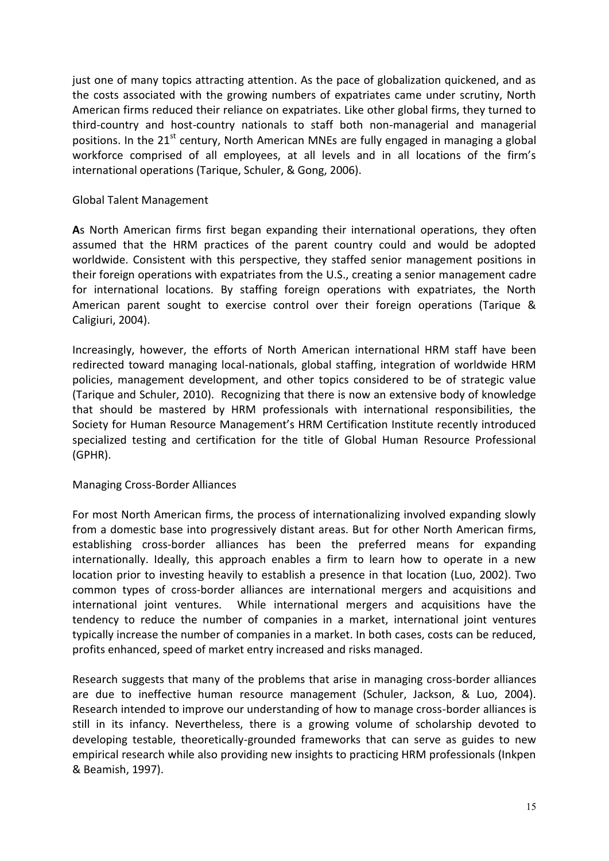just one of many topics attracting attention. As the pace of globalization quickened, and as the costs associated with the growing numbers of expatriates came under scrutiny, North American firms reduced their reliance on expatriates. Like other global firms, they turned to third-country and host-country nationals to staff both non-managerial and managerial positions. In the  $21<sup>st</sup>$  century, North American MNEs are fully engaged in managing a global workforce comprised of all employees, at all levels and in all locations of the firm's international operations (Tarique, Schuler, & Gong, 2006).

### Global Talent Management

**A**s North American firms first began expanding their international operations, they often assumed that the HRM practices of the parent country could and would be adopted worldwide. Consistent with this perspective, they staffed senior management positions in their foreign operations with expatriates from the U.S., creating a senior management cadre for international locations. By staffing foreign operations with expatriates, the North American parent sought to exercise control over their foreign operations (Tarique & Caligiuri, 2004).

Increasingly, however, the efforts of North American international HRM staff have been redirected toward managing local-nationals, global staffing, integration of worldwide HRM policies, management development, and other topics considered to be of strategic value (Tarique and Schuler, 2010). Recognizing that there is now an extensive body of knowledge that should be mastered by HRM professionals with international responsibilities, the Society for Human Resource Management's HRM Certification Institute recently introduced specialized testing and certification for the title of Global Human Resource Professional (GPHR).

## Managing Cross-Border Alliances

For most North American firms, the process of internationalizing involved expanding slowly from a domestic base into progressively distant areas. But for other North American firms, establishing cross-border alliances has been the preferred means for expanding internationally. Ideally, this approach enables a firm to learn how to operate in a new location prior to investing heavily to establish a presence in that location (Luo, 2002). Two common types of cross-border alliances are international mergers and acquisitions and international joint ventures. While international mergers and acquisitions have the tendency to reduce the number of companies in a market, international joint ventures typically increase the number of companies in a market. In both cases, costs can be reduced, profits enhanced, speed of market entry increased and risks managed.

Research suggests that many of the problems that arise in managing cross-border alliances are due to ineffective human resource management (Schuler, Jackson, & Luo, 2004). Research intended to improve our understanding of how to manage cross-border alliances is still in its infancy. Nevertheless, there is a growing volume of scholarship devoted to developing testable, theoretically-grounded frameworks that can serve as guides to new empirical research while also providing new insights to practicing HRM professionals (Inkpen & Beamish, 1997).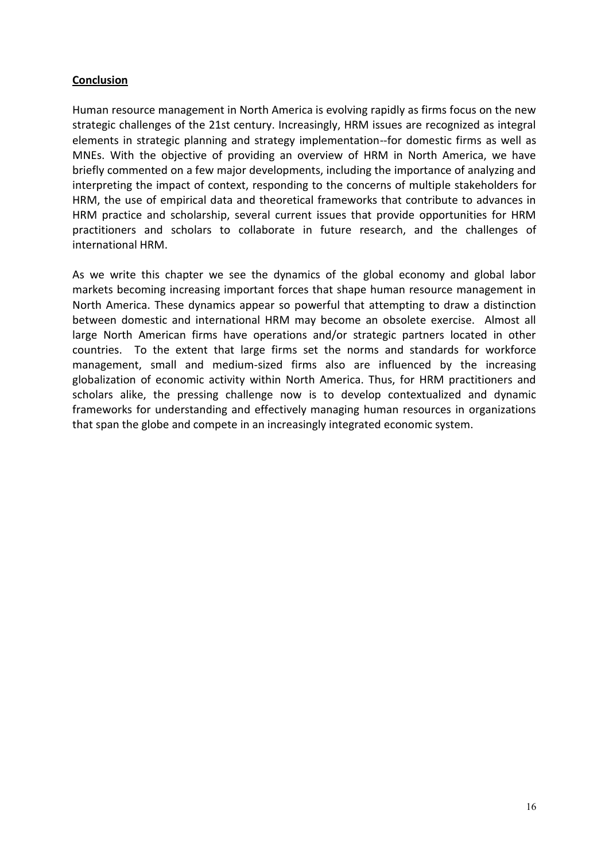### **Conclusion**

Human resource management in North America is evolving rapidly as firms focus on the new strategic challenges of the 21st century. Increasingly, HRM issues are recognized as integral elements in strategic planning and strategy implementation--for domestic firms as well as MNEs. With the objective of providing an overview of HRM in North America, we have briefly commented on a few major developments, including the importance of analyzing and interpreting the impact of context, responding to the concerns of multiple stakeholders for HRM, the use of empirical data and theoretical frameworks that contribute to advances in HRM practice and scholarship, several current issues that provide opportunities for HRM practitioners and scholars to collaborate in future research, and the challenges of international HRM.

As we write this chapter we see the dynamics of the global economy and global labor markets becoming increasing important forces that shape human resource management in North America. These dynamics appear so powerful that attempting to draw a distinction between domestic and international HRM may become an obsolete exercise. Almost all large North American firms have operations and/or strategic partners located in other countries. To the extent that large firms set the norms and standards for workforce management, small and medium-sized firms also are influenced by the increasing globalization of economic activity within North America. Thus, for HRM practitioners and scholars alike, the pressing challenge now is to develop contextualized and dynamic frameworks for understanding and effectively managing human resources in organizations that span the globe and compete in an increasingly integrated economic system.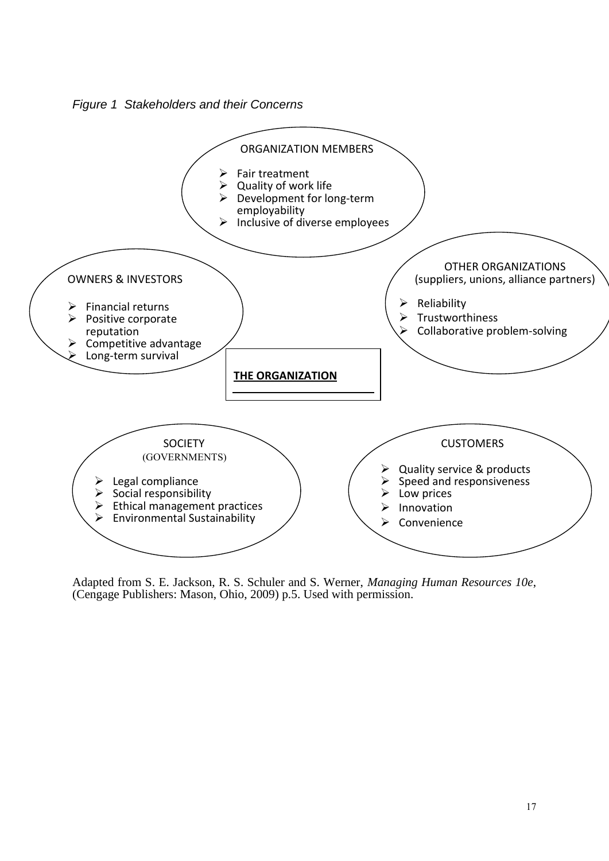<span id="page-16-0"></span>*Figure 1 Stakeholders and their Concerns* 



Adapted from S. E. Jackson, R. S. Schuler and S. Werner, *Managing Human Resources 10e*, (Cengage Publishers: Mason, Ohio, 2009) p.5. Used with permission.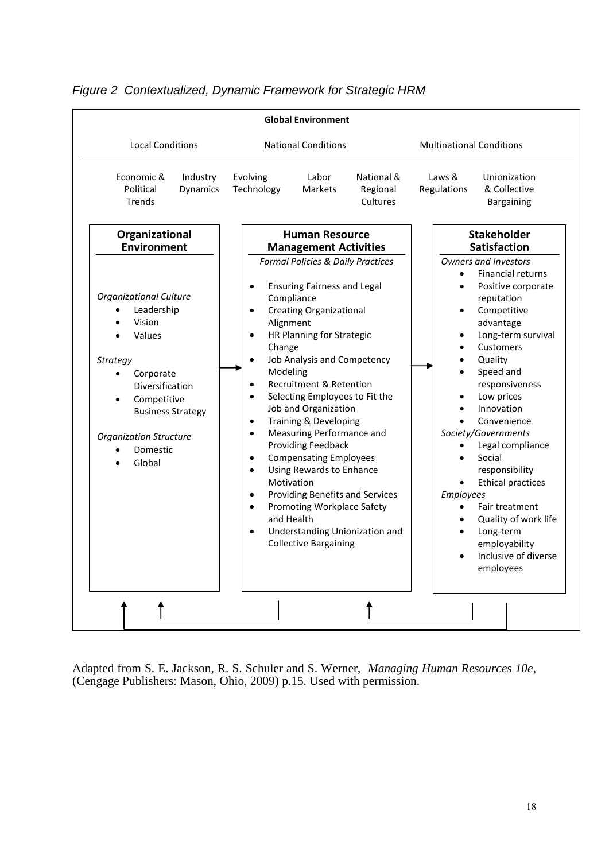| <b>Global Environment</b>                                                                                                                                                                                                                                                 |                                                                                                                                                                                                                                                                                                                                                                                                                                                                                                                                                                                                                                                                                                                                                                                                                                                                                 |                         |                                    |                                                                                                                                                                                                                                                                                                                                                                                                                                                                                                                                                                                     |                                                   |
|---------------------------------------------------------------------------------------------------------------------------------------------------------------------------------------------------------------------------------------------------------------------------|---------------------------------------------------------------------------------------------------------------------------------------------------------------------------------------------------------------------------------------------------------------------------------------------------------------------------------------------------------------------------------------------------------------------------------------------------------------------------------------------------------------------------------------------------------------------------------------------------------------------------------------------------------------------------------------------------------------------------------------------------------------------------------------------------------------------------------------------------------------------------------|-------------------------|------------------------------------|-------------------------------------------------------------------------------------------------------------------------------------------------------------------------------------------------------------------------------------------------------------------------------------------------------------------------------------------------------------------------------------------------------------------------------------------------------------------------------------------------------------------------------------------------------------------------------------|---------------------------------------------------|
| <b>Local Conditions</b>                                                                                                                                                                                                                                                   | <b>National Conditions</b>                                                                                                                                                                                                                                                                                                                                                                                                                                                                                                                                                                                                                                                                                                                                                                                                                                                      |                         |                                    | <b>Multinational Conditions</b>                                                                                                                                                                                                                                                                                                                                                                                                                                                                                                                                                     |                                                   |
| Economic &<br>Industry<br>Political<br>Dynamics<br><b>Trends</b>                                                                                                                                                                                                          | Evolving<br>Technology                                                                                                                                                                                                                                                                                                                                                                                                                                                                                                                                                                                                                                                                                                                                                                                                                                                          | Labor<br><b>Markets</b> | National &<br>Regional<br>Cultures | Laws &<br>Regulations                                                                                                                                                                                                                                                                                                                                                                                                                                                                                                                                                               | Unionization<br>& Collective<br><b>Bargaining</b> |
| Organizational<br><b>Environment</b><br><b>Organizational Culture</b><br>Leadership<br>Vision<br>Values<br><b>Strategy</b><br>Corporate<br>$\bullet$<br>Diversification<br>Competitive<br><b>Business Strategy</b><br><b>Organization Structure</b><br>Domestic<br>Global | <b>Human Resource</b><br><b>Management Activities</b><br>Formal Policies & Daily Practices<br><b>Ensuring Fairness and Legal</b><br>$\bullet$<br>Compliance<br><b>Creating Organizational</b><br>$\bullet$<br>Alignment<br>HR Planning for Strategic<br>$\bullet$<br>Change<br>Job Analysis and Competency<br>$\bullet$<br>Modeling<br><b>Recruitment &amp; Retention</b><br>$\bullet$<br>Selecting Employees to Fit the<br>$\bullet$<br>Job and Organization<br>Training & Developing<br>$\bullet$<br>Measuring Performance and<br>$\bullet$<br><b>Providing Feedback</b><br><b>Compensating Employees</b><br>$\bullet$<br><b>Using Rewards to Enhance</b><br>$\bullet$<br>Motivation<br><b>Providing Benefits and Services</b><br>$\bullet$<br><b>Promoting Workplace Safety</b><br>and Health<br>Understanding Unionization and<br>$\bullet$<br><b>Collective Bargaining</b> |                         |                                    | <b>Stakeholder</b><br>Satisfaction<br><b>Owners and Investors</b><br>Financial returns<br>$\bullet$<br>Positive corporate<br>$\bullet$<br>reputation<br>Competitive<br>advantage<br>Long-term survival<br>Customers<br>Quality<br>$\bullet$<br>Speed and<br>responsiveness<br>Low prices<br>Innovation<br>Convenience<br>Society/Governments<br>Legal compliance<br>$\bullet$<br>Social<br>responsibility<br><b>Ethical practices</b><br><b>Employees</b><br>Fair treatment<br>$\bullet$<br>Quality of work life<br>Long-term<br>$\bullet$<br>employability<br>Inclusive of diverse |                                                   |

<span id="page-17-0"></span>*Figure 2 Contextualized, Dynamic Framework for Strategic HRM* 

Adapted from S. E. Jackson, R. S. Schuler and S. Werner, *Managing Human Resources 10e*, (Cengage Publishers: Mason, Ohio, 2009) p.15. Used with permission.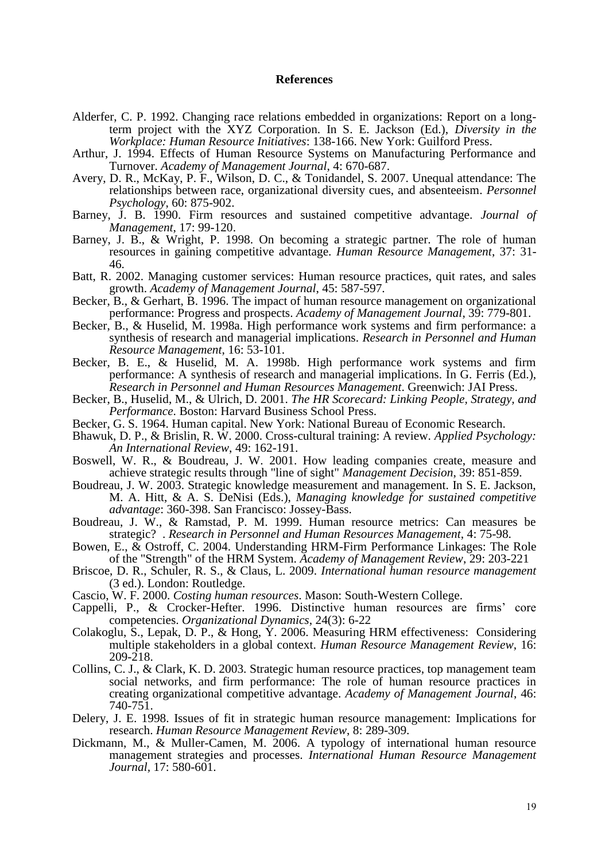#### **References**

- Alderfer, C. P. 1992. Changing race relations embedded in organizations: Report on a longterm project with the XYZ Corporation. In S. E. Jackson (Ed.), *Diversity in the Workplace: Human Resource Initiatives*: 138-166. New York: Guilford Press.
- Arthur, J. 1994. Effects of Human Resource Systems on Manufacturing Performance and Turnover. *Academy of Management Journal*, 4: 670-687.
- Avery, D. R., McKay, P. F., Wilson, D. C., & Tonidandel, S. 2007. Unequal attendance: The relationships between race, organizational diversity cues, and absenteeism. *Personnel Psychology*, 60: 875-902.
- Barney, J. B. 1990. Firm resources and sustained competitive advantage. *Journal of Management*, 17: 99-120.
- Barney, J. B., & Wright, P. 1998. On becoming a strategic partner. The role of human resources in gaining competitive advantage. *Human Resource Management*, 37: 31- 46.
- Batt, R. 2002. Managing customer services: Human resource practices, quit rates, and sales growth. *Academy of Management Journal*, 45: 587-597.
- Becker, B., & Gerhart, B. 1996. The impact of human resource management on organizational performance: Progress and prospects. *Academy of Management Journal*, 39: 779-801.
- Becker, B., & Huselid, M. 1998a. High performance work systems and firm performance: a synthesis of research and managerial implications. *Research in Personnel and Human Resource Management*, 16: 53-101.
- Becker, B. E., & Huselid, M. A. 1998b. High performance work systems and firm performance: A synthesis of research and managerial implications. In G. Ferris (Ed.), *Research in Personnel and Human Resources Management*. Greenwich: JAI Press.
- Becker, B., Huselid, M., & Ulrich, D. 2001. *The HR Scorecard: Linking People, Strategy, and Performance*. Boston: Harvard Business School Press.
- Becker, G. S. 1964. Human capital. New York: National Bureau of Economic Research.
- Bhawuk, D. P., & Brislin, R. W. 2000. Cross-cultural training: A review. *Applied Psychology: An International Review*, 49: 162-191.
- Boswell, W. R., & Boudreau, J. W. 2001. How leading companies create, measure and achieve strategic results through "line of sight" *Management Decision*, 39: 851-859.
- Boudreau, J. W. 2003. Strategic knowledge measurement and management. In S. E. Jackson, M. A. Hitt, & A. S. DeNisi (Eds.), *Managing knowledge for sustained competitive advantage*: 360-398. San Francisco: Jossey-Bass.
- Boudreau, J. W., & Ramstad, P. M. 1999. Human resource metrics: Can measures be strategic? . *Research in Personnel and Human Resources Management*, 4: 75-98.
- Bowen, E., & Ostroff, C. 2004. Understanding HRM-Firm Performance Linkages: The Role of the "Strength" of the HRM System. *Academy of Management Review*, 29: 203-221
- Briscoe, D. R., Schuler, R. S., & Claus, L. 2009. *International human resource management* (3 ed.). London: Routledge.
- Cascio, W. F. 2000. *Costing human resources*. Mason: South-Western College.
- Cappelli, P., & Crocker-Hefter. 1996. Distinctive human resources are firms" core competencies. *Organizational Dynamics*, 24(3): 6-22
- Colakoglu, S., Lepak, D. P., & Hong, Y. 2006. Measuring HRM effectiveness: Considering multiple stakeholders in a global context. *Human Resource Management Review*, 16: 209-218.
- Collins, C. J., & Clark, K. D. 2003. Strategic human resource practices, top management team social networks, and firm performance: The role of human resource practices in creating organizational competitive advantage. *Academy of Management Journal*, 46: 740-751.
- Delery, J. E. 1998. Issues of fit in strategic human resource management: Implications for research. *Human Resource Management Review*, 8: 289-309.
- Dickmann, M., & Muller-Camen, M. 2006. A typology of international human resource management strategies and processes. *International Human Resource Management Journal,* 17: 580-601.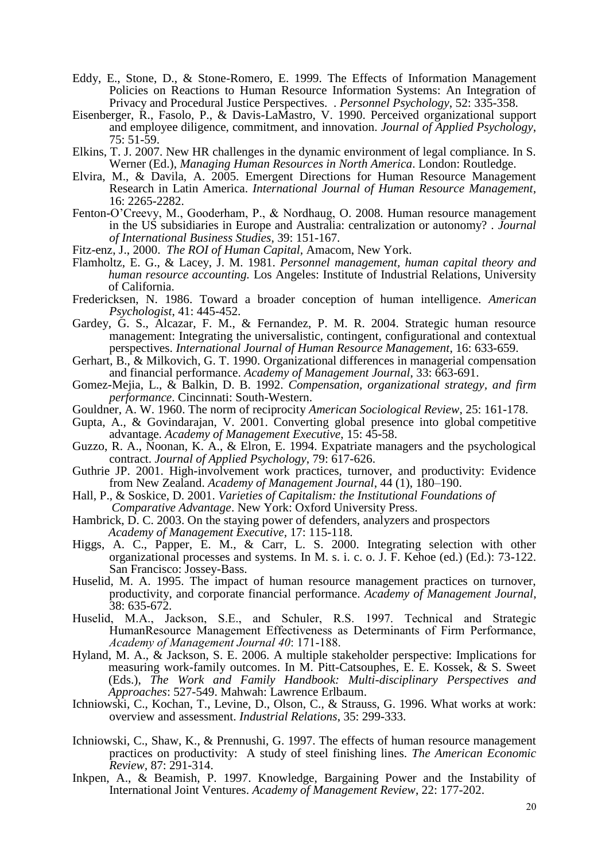- Eddy, E., Stone, D., & Stone-Romero, E. 1999. The Effects of Information Management Policies on Reactions to Human Resource Information Systems: An Integration of Privacy and Procedural Justice Perspectives. . *Personnel Psychology*, 52: 335-358.
- Eisenberger, R., Fasolo, P., & Davis-LaMastro, V. 1990. Perceived organizational support and employee diligence, commitment, and innovation. *Journal of Applied Psychology*, 75: 51-59.
- Elkins, T. J. 2007. New HR challenges in the dynamic environment of legal compliance. In S. Werner (Ed.), *Managing Human Resources in North America*. London: Routledge.
- Elvira, M., & Davila, A. 2005. Emergent Directions for Human Resource Management Research in Latin America. *International Journal of Human Resource Management*, 16: 2265-2282.
- Fenton-O"Creevy, M., Gooderham, P., & Nordhaug, O. 2008. Human resource management in the US subsidiaries in Europe and Australia: centralization or autonomy? . *Journal of International Business Studies*, 39: 151-167.
- Fitz-enz, J., 2000. *The ROI of Human Capital,* Amacom, New York.
- Flamholtz, E. G., & Lacey, J. M. 1981. *Personnel management, human capital theory and human resource accounting.* Los Angeles: Institute of Industrial Relations, University of California.
- Fredericksen, N. 1986. Toward a broader conception of human intelligence. *American Psychologist*, 41: 445-452.
- Gardey, G. S., Alcazar, F. M., & Fernandez, P. M. R. 2004. Strategic human resource management: Integrating the universalistic, contingent, configurational and contextual perspectives. *International Journal of Human Resource Management*, 16: 633-659.
- Gerhart, B., & Milkovich, G. T. 1990. Organizational differences in managerial compensation and financial performance. *Academy of Management Journal*, 33: 663-691.
- Gomez-Mejia, L., & Balkin, D. B. 1992. *Compensation, organizational strategy, and firm performance*. Cincinnati: South-Western.
- Gouldner, A. W. 1960. The norm of reciprocity *American Sociological Review*, 25: 161-178.
- Gupta, A., & Govindarajan, V. 2001. Converting global presence into global competitive advantage. *Academy of Management Executive*, 15: 45-58.
- Guzzo, R. A., Noonan, K. A., & Elron, E. 1994. Expatriate managers and the psychological contract. *Journal of Applied Psychology*, 79: 617-626.
- Guthrie JP. 2001. High-involvement work practices, turnover, and productivity: Evidence from New Zealand. *Academy of Management Journal*, 44 (1), 180–190.
- Hall, P., & Soskice, D. 2001. *Varieties of Capitalism: the Institutional Foundations of Comparative Advantage*. New York: Oxford University Press.
- Hambrick, D. C. 2003. On the staying power of defenders, analyzers and prospectors *Academy of Management Executive,* 17: 115-118.
- Higgs, A. C., Papper, E. M., & Carr, L. S. 2000. Integrating selection with other organizational processes and systems. In M. s. i. c. o. J. F. Kehoe (ed.) (Ed.): 73-122. San Francisco: Jossey-Bass.
- Huselid, M. A. 1995. The impact of human resource management practices on turnover, productivity, and corporate financial performance. *Academy of Management Journal*, 38: 635-672.
- Huselid, M.A., Jackson, S.E., and Schuler, R.S. 1997. Technical and Strategic HumanResource Management Effectiveness as Determinants of Firm Performance, *Academy of Management Journal 40*: 171-188.
- Hyland, M. A., & Jackson, S. E. 2006. A multiple stakeholder perspective: Implications for measuring work-family outcomes. In M. Pitt-Catsouphes, E. E. Kossek, & S. Sweet (Eds.), *The Work and Family Handbook: Multi-disciplinary Perspectives and Approaches*: 527-549. Mahwah: Lawrence Erlbaum.
- Ichniowski, C., Kochan, T., Levine, D., Olson, C., & Strauss, G. 1996. What works at work: overview and assessment. *Industrial Relations*, 35: 299-333.
- Ichniowski, C., Shaw, K., & Prennushi, G. 1997. The effects of human resource management practices on productivity: A study of steel finishing lines. *The American Economic Review,* 87: 291-314.
- Inkpen, A., & Beamish, P. 1997. Knowledge, Bargaining Power and the Instability of International Joint Ventures. *Academy of Management Review*, 22: 177-202.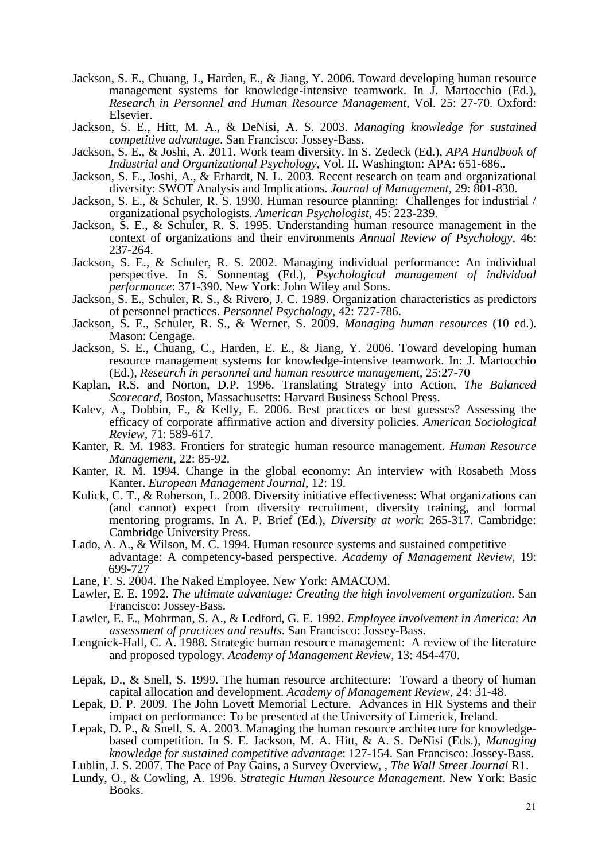- Jackson, S. E., Chuang, J., Harden, E., & Jiang, Y. 2006. Toward developing human resource management systems for knowledge-intensive teamwork. In J. Martocchio (Ed.), *Research in Personnel and Human Resource Management*, Vol. 25: 27-70. Oxford: Elsevier.
- Jackson, S. E., Hitt, M. A., & DeNisi, A. S. 2003. *Managing knowledge for sustained competitive advantage*. San Francisco: Jossey-Bass.
- Jackson, S. E., & Joshi, A. 2011. Work team diversity. In S. Zedeck (Ed.), *APA Handbook of Industrial and Organizational Psychology*, Vol. II. Washington: APA: 651-686..
- Jackson, S. E., Joshi, A., & Erhardt, N. L. 2003. Recent research on team and organizational diversity: SWOT Analysis and Implications. *Journal of Management*, 29: 801-830.
- Jackson, S. E., & Schuler, R. S. 1990. Human resource planning: Challenges for industrial / organizational psychologists. *American Psychologist*, 45: 223-239.
- Jackson, S. E., & Schuler, R. S. 1995. Understanding human resource management in the context of organizations and their environments *Annual Review of Psychology*, 46: 237-264.
- Jackson, S. E., & Schuler, R. S. 2002. Managing individual performance: An individual perspective. In S. Sonnentag (Ed.), *Psychological management of individual performance*: 371-390. New York: John Wiley and Sons.
- Jackson, S. E., Schuler, R. S., & Rivero, J. C. 1989. Organization characteristics as predictors of personnel practices. *Personnel Psychology*, 42: 727-786.
- Jackson, S. E., Schuler, R. S., & Werner, S. 2009. *Managing human resources* (10 ed.). Mason: Cengage.
- Jackson, S. E., Chuang, C., Harden, E. E., & Jiang, Y. 2006. Toward developing human resource management systems for knowledge-intensive teamwork. In: J. Martocchio (Ed.), *Research in personnel and human resource management*, 25:27-70
- Kaplan, R.S. and Norton, D.P. 1996. Translating Strategy into Action, *The Balanced Scorecard*, Boston, Massachusetts: Harvard Business School Press.
- Kalev, A., Dobbin, F., & Kelly, E. 2006. Best practices or best guesses? Assessing the efficacy of corporate affirmative action and diversity policies. *American Sociological Review*, 71: 589-617.
- Kanter, R. M. 1983. Frontiers for strategic human resource management. *Human Resource Management*, 22: 85-92.
- Kanter, R. M. 1994. Change in the global economy: An interview with Rosabeth Moss Kanter. *European Management Journal*, 12: 19.
- Kulick, C. T., & Roberson, L. 2008. Diversity initiative effectiveness: What organizations can (and cannot) expect from diversity recruitment, diversity training, and formal mentoring programs. In A. P. Brief (Ed.), *Diversity at work*: 265-317. Cambridge: Cambridge University Press.
- Lado, A. A., & Wilson, M. C. 1994. Human resource systems and sustained competitive advantage: A competency-based perspective. *Academy of Management Review,* 19: 699-727
- Lane, F. S. 2004. The Naked Employee. New York: AMACOM.
- Lawler, E. E. 1992. *The ultimate advantage: Creating the high involvement organization*. San Francisco: Jossey-Bass.
- Lawler, E. E., Mohrman, S. A., & Ledford, G. E. 1992. *Employee involvement in America: An assessment of practices and results*. San Francisco: Jossey-Bass.
- Lengnick-Hall, C. A. 1988. Strategic human resource management: A review of the literature and proposed typology. *Academy of Management Review*, 13: 454-470.
- Lepak, D., & Snell, S. 1999. The human resource architecture: Toward a theory of human capital allocation and development. *Academy of Management Review*, 24: 31-48.
- Lepak, D. P. 2009. The John Lovett Memorial Lecture. Advances in HR Systems and their impact on performance: To be presented at the University of Limerick, Ireland.
- Lepak, D. P., & Snell, S. A. 2003. Managing the human resource architecture for knowledgebased competition. In S. E. Jackson, M. A. Hitt, & A. S. DeNisi (Eds.), *Managing knowledge for sustained competitive advantage*: 127-154. San Francisco: Jossey-Bass.
- Lublin, J. S. 2007. The Pace of Pay Gains, a Survey Overview, , *The Wall Street Journal* R1.
- Lundy, O., & Cowling, A. 1996. *Strategic Human Resource Management*. New York: Basic Books.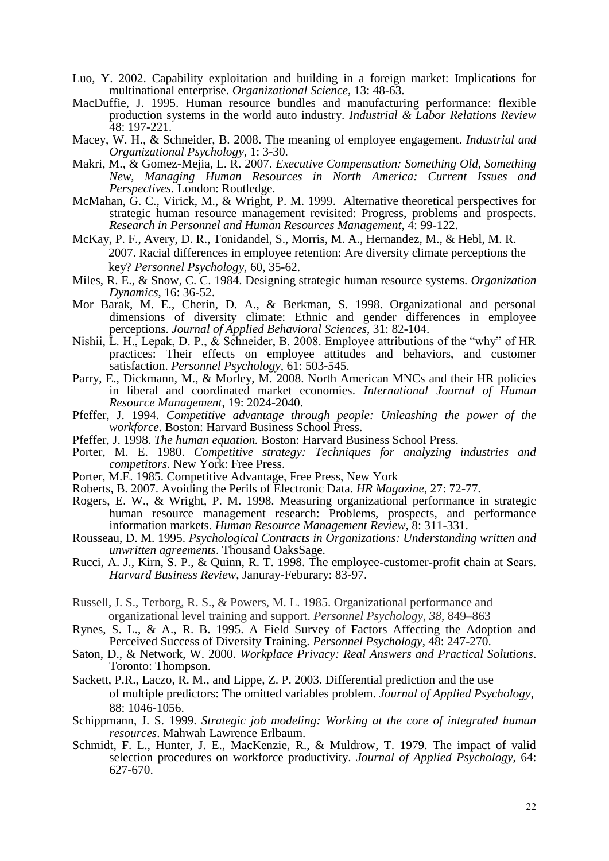- Luo, Y. 2002. Capability exploitation and building in a foreign market: Implications for multinational enterprise. *Organizational Science*, 13: 48-63.
- MacDuffie, J. 1995. Human resource bundles and manufacturing performance: flexible production systems in the world auto industry. *Industrial & Labor Relations Review*  48: 197-221.
- Macey, W. H., & Schneider, B. 2008. The meaning of employee engagement. *Industrial and Organizational Psychology*, 1: 3-30.
- Makri, M., & Gomez-Mejia, L. R. 2007. *Executive Compensation: Something Old, Something New, Managing Human Resources in North America: Current Issues and Perspectives*. London: Routledge.
- McMahan, G. C., Virick, M., & Wright, P. M. 1999. Alternative theoretical perspectives for strategic human resource management revisited: Progress, problems and prospects. *Research in Personnel and Human Resources Management*, 4: 99-122.
- McKay, P. F., Avery, D. R., Tonidandel, S., Morris, M. A., Hernandez, M., & Hebl, M. R. 2007. Racial differences in employee retention: Are diversity climate perceptions the key? *Personnel Psychology,* 60*,* 35-62.
- Miles, R. E., & Snow, C. C. 1984. Designing strategic human resource systems. *Organization Dynamics*, 16: 36-52.
- Mor Barak, M. E., Cherin, D. A., & Berkman, S. 1998. Organizational and personal dimensions of diversity climate: Ethnic and gender differences in employee perceptions. *Journal of Applied Behavioral Sciences*, 31: 82-104.
- Nishii, L. H., Lepak, D. P., & Schneider, B. 2008. Employee attributions of the "why" of HR practices: Their effects on employee attitudes and behaviors, and customer satisfaction. *Personnel Psychology*, 61: 503-545.
- Parry, E., Dickmann, M., & Morley, M. 2008. North American MNCs and their HR policies in liberal and coordinated market economies. *International Journal of Human Resource Management*, 19: 2024-2040.
- Pfeffer, J. 1994. *Competitive advantage through people: Unleashing the power of the workforce*. Boston: Harvard Business School Press.
- Pfeffer, J. 1998. *The human equation.* Boston: Harvard Business School Press.
- Porter, M. E. 1980. *Competitive strategy: Techniques for analyzing industries and competitors*. New York: Free Press.
- Porter, M.E. 1985. Competitive Advantage, Free Press, New York
- Roberts, B. 2007. Avoiding the Perils of Electronic Data. *HR Magazine*, 27: 72-77.
- Rogers, E. W., & Wright, P. M. 1998. Measuring organizational performance in strategic human resource management research: Problems, prospects, and performance information markets. *Human Resource Management Review*, 8: 311-331.
- Rousseau, D. M. 1995. *Psychological Contracts in Organizations: Understanding written and unwritten agreements*. Thousand OaksSage.
- Rucci, A. J., Kirn, S. P., & Quinn, R. T. 1998. The employee-customer-profit chain at Sears. *Harvard Business Review*, Januray-Feburary: 83-97.
- Russell, J. S., Terborg, R. S., & Powers, M. L. 1985. Organizational performance and organizational level training and support. *Personnel Psychology*, *38*, 849–863
- Rynes, S. L., & A., R. B. 1995. A Field Survey of Factors Affecting the Adoption and Perceived Success of Diversity Training. *Personnel Psychology*, 48: 247-270.
- Saton, D., & Network, W. 2000. *Workplace Privacy: Real Answers and Practical Solutions*. Toronto: Thompson.
- Sackett, P.R., Laczo, R. M., and Lippe, Z. P. 2003. Differential prediction and the use of multiple predictors: The omitted variables problem. *Journal of Applied Psychology,* 88: 1046-1056.
- Schippmann, J. S. 1999. *Strategic job modeling: Working at the core of integrated human resources*. Mahwah Lawrence Erlbaum.
- Schmidt, F. L., Hunter, J. E., MacKenzie, R., & Muldrow, T. 1979. The impact of valid selection procedures on workforce productivity. *Journal of Applied Psychology*, 64: 627-670.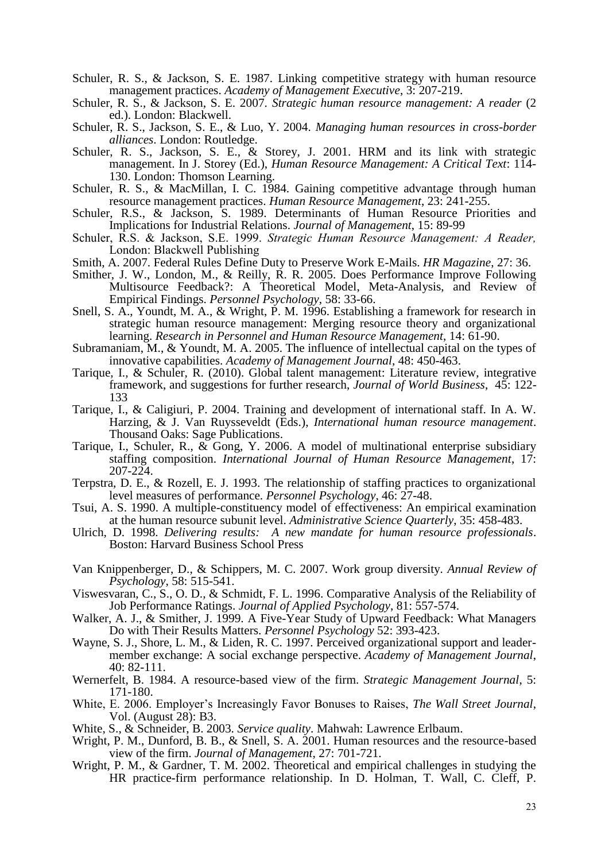- Schuler, R. S., & Jackson, S. E. 1987. Linking competitive strategy with human resource management practices. *Academy of Management Executive*, 3: 207-219.
- Schuler, R. S., & Jackson, S. E. 2007. *Strategic human resource management: A reader* (2 ed.). London: Blackwell.
- Schuler, R. S., Jackson, S. E., & Luo, Y. 2004. *Managing human resources in cross-border alliances*. London: Routledge.
- Schuler, R. S., Jackson, S. E., & Storey, J. 2001. HRM and its link with strategic management. In J. Storey (Ed.), *Human Resource Management: A Critical Text*: 114- 130. London: Thomson Learning.
- Schuler, R. S., & MacMillan, I. C. 1984. Gaining competitive advantage through human resource management practices. *Human Resource Management*, 23: 241-255.
- Schuler, R.S., & Jackson, S. 1989. Determinants of Human Resource Priorities and Implications for Industrial Relations. *Journal of Management*, 15: 89-99
- Schuler, R.S. & Jackson, S.E. 1999. *Strategic Human Resource Management: A Reader,*  London: Blackwell Publishing
- Smith, A. 2007. Federal Rules Define Duty to Preserve Work E-Mails. *HR Magazine*, 27: 36.
- Smither, J. W., London, M., & Reilly, R. R. 2005. Does Performance Improve Following Multisource Feedback?: A Theoretical Model, Meta-Analysis, and Review of Empirical Findings. *Personnel Psychology*, 58: 33-66.
- Snell, S. A., Youndt, M. A., & Wright, P. M. 1996. Establishing a framework for research in strategic human resource management: Merging resource theory and organizational learning. *Research in Personnel and Human Resource Management*, 14: 61-90.
- Subramaniam, M., & Youndt, M. A. 2005. The influence of intellectual capital on the types of innovative capabilities. *Academy of Management Journal*, 48: 450-463.
- Tarique, I., & Schuler, R. (2010). Global talent management: Literature review, integrative framework, and suggestions for further research, *Journal of World Business*, 45: 122- 133
- Tarique, I., & Caligiuri, P. 2004. Training and development of international staff. In A. W. Harzing, & J. Van Ruysseveldt (Eds.), *International human resource management*. Thousand Oaks: Sage Publications.
- Tarique, I., Schuler, R., & Gong, Y. 2006. A model of multinational enterprise subsidiary staffing composition. *International Journal of Human Resource Management*, 17: 207-224.
- Terpstra, D. E., & Rozell, E. J. 1993. The relationship of staffing practices to organizational level measures of performance. *Personnel Psychology*, 46: 27-48.
- Tsui, A. S. 1990. A multiple-constituency model of effectiveness: An empirical examination at the human resource subunit level. *Administrative Science Quarterly*, 35: 458-483.
- Ulrich, D. 1998. *Delivering results: A new mandate for human resource professionals*. Boston: Harvard Business School Press
- Van Knippenberger, D., & Schippers, M. C. 2007. Work group diversity. *Annual Review of Psychology*, 58: 515-541.
- Viswesvaran, C., S., O. D., & Schmidt, F. L. 1996. Comparative Analysis of the Reliability of Job Performance Ratings. *Journal of Applied Psychology*, 81: 557-574.
- Walker, A. J., & Smither, J. 1999. A Five-Year Study of Upward Feedback: What Managers Do with Their Results Matters. *Personnel Psychology* 52: 393-423.
- Wayne, S. J., Shore, L. M., & Liden, R. C. 1997. Perceived organizational support and leadermember exchange: A social exchange perspective. *Academy of Management Journal*, 40: 82-111.
- Wernerfelt, B. 1984. A resource-based view of the firm. *Strategic Management Journal*, 5: 171-180.
- White, E. 2006. Employer"s Increasingly Favor Bonuses to Raises, *The Wall Street Journal*, Vol. (August 28): B3.
- White, S., & Schneider, B. 2003. *Service quality*. Mahwah: Lawrence Erlbaum.
- Wright, P. M., Dunford, B. B., & Snell, S. A. 2001. Human resources and the resource-based view of the firm. *Journal of Management*, 27: 701-721.
- Wright, P. M., & Gardner, T. M. 2002. Theoretical and empirical challenges in studying the HR practice-firm performance relationship. In D. Holman, T. Wall, C. Cleff, P.